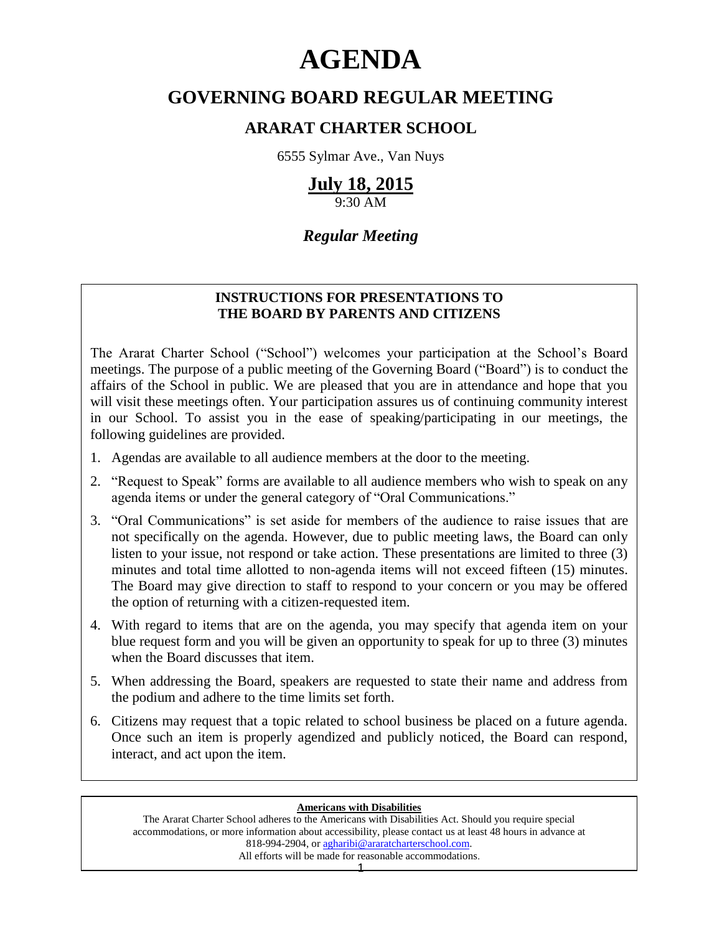# **AGENDA**

# **GOVERNING BOARD REGULAR MEETING**

# **ARARAT CHARTER SCHOOL**

6555 Sylmar Ave., Van Nuys

# **July 18, 2015**

9:30 AM

# *Regular Meeting*

# **INSTRUCTIONS FOR PRESENTATIONS TO THE BOARD BY PARENTS AND CITIZENS**

The Ararat Charter School ("School") welcomes your participation at the School's Board meetings. The purpose of a public meeting of the Governing Board ("Board") is to conduct the affairs of the School in public. We are pleased that you are in attendance and hope that you will visit these meetings often. Your participation assures us of continuing community interest in our School. To assist you in the ease of speaking/participating in our meetings, the following guidelines are provided.

- 1. Agendas are available to all audience members at the door to the meeting.
- 2. "Request to Speak" forms are available to all audience members who wish to speak on any agenda items or under the general category of "Oral Communications."
- 3. "Oral Communications" is set aside for members of the audience to raise issues that are not specifically on the agenda. However, due to public meeting laws, the Board can only listen to your issue, not respond or take action. These presentations are limited to three (3) minutes and total time allotted to non-agenda items will not exceed fifteen (15) minutes. The Board may give direction to staff to respond to your concern or you may be offered the option of returning with a citizen-requested item.
- 4. With regard to items that are on the agenda, you may specify that agenda item on your blue request form and you will be given an opportunity to speak for up to three (3) minutes when the Board discusses that item.
- 5. When addressing the Board, speakers are requested to state their name and address from the podium and adhere to the time limits set forth.
- 6. Citizens may request that a topic related to school business be placed on a future agenda. Once such an item is properly agendized and publicly noticed, the Board can respond, interact, and act upon the item.

#### **Americans with Disabilities**

The Ararat Charter School adheres to the Americans with Disabilities Act. Should you require special accommodations, or more information about accessibility, please contact us at least 48 hours in advance at 818-994-2904, or [agharibi@araratcharterschool.com.](mailto:agharibi@araratcharterschool.com)  All efforts will be made for reasonable accommodations.

1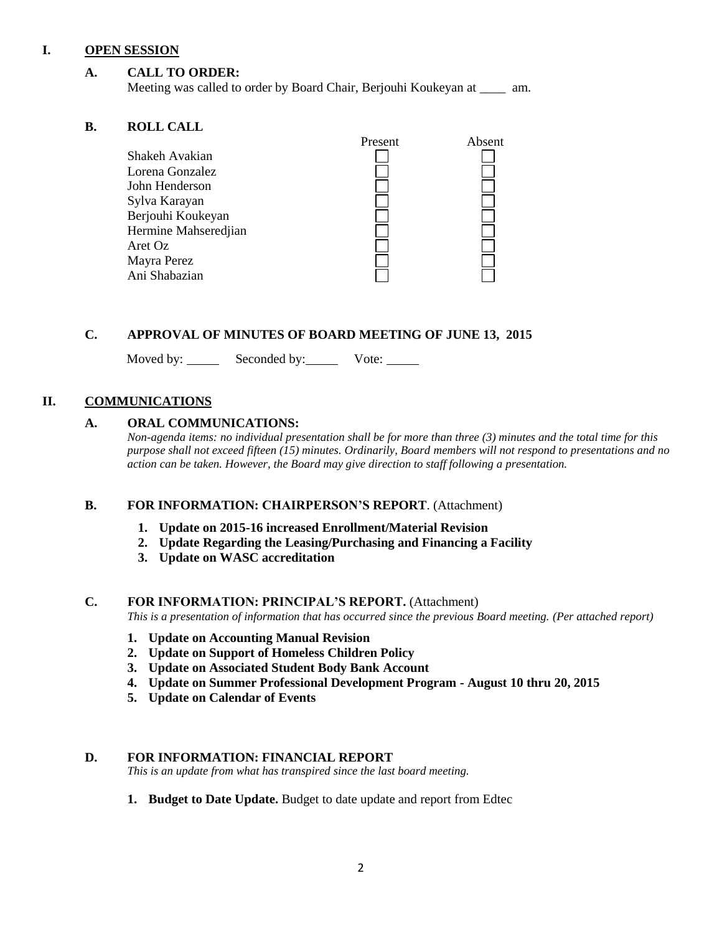# **I. OPEN SESSION**

# **A. CALL TO ORDER:**

Meeting was called to order by Board Chair, Berjouhi Koukeyan at \_\_\_\_ am.

# **B. ROLL CALL**

|                      | Present | Absent |
|----------------------|---------|--------|
| Shakeh Avakian       |         |        |
| Lorena Gonzalez      |         |        |
| John Henderson       |         |        |
| Sylva Karayan        |         |        |
| Berjouhi Koukeyan    |         |        |
| Hermine Mahseredjian |         |        |
| Aret Oz              |         |        |
| Mayra Perez          |         |        |
| Ani Shabazian        |         |        |
|                      |         |        |

# **C. APPROVAL OF MINUTES OF BOARD MEETING OF JUNE 13, 2015**

Moved by: Seconded by: Vote:

# **II. COMMUNICATIONS**

# **A. ORAL COMMUNICATIONS:**

*Non-agenda items: no individual presentation shall be for more than three (3) minutes and the total time for this purpose shall not exceed fifteen (15) minutes. Ordinarily, Board members will not respond to presentations and no action can be taken. However, the Board may give direction to staff following a presentation.*

#### **B. FOR INFORMATION: CHAIRPERSON'S REPORT**. (Attachment)

- **1. Update on 2015-16 increased Enrollment/Material Revision**
- **2. Update Regarding the Leasing/Purchasing and Financing a Facility**
- **3. Update on WASC accreditation**

#### **C. FOR INFORMATION: PRINCIPAL'S REPORT.** (Attachment)

*This is a presentation of information that has occurred since the previous Board meeting. (Per attached report)*

- **1. Update on Accounting Manual Revision**
- **2. Update on Support of Homeless Children Policy**
- **3. Update on Associated Student Body Bank Account**
- **4. Update on Summer Professional Development Program - August 10 thru 20, 2015**
- **5. Update on Calendar of Events**

#### **D. FOR INFORMATION: FINANCIAL REPORT**

*This is an update from what has transpired since the last board meeting.*

**1. Budget to Date Update.** Budget to date update and report from Edtec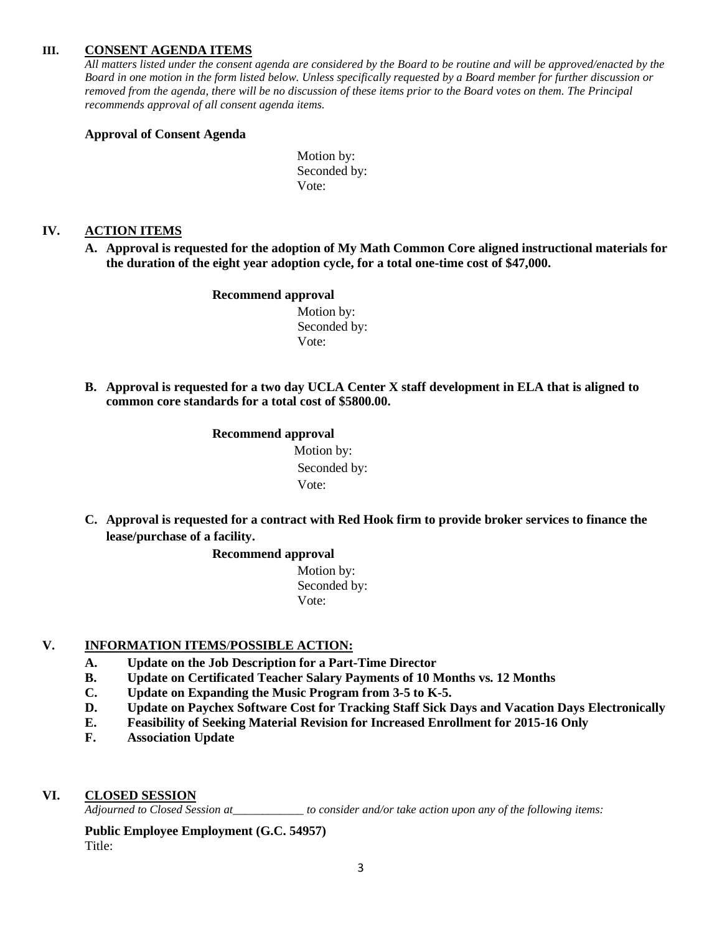# **III. CONSENT AGENDA ITEMS**

*All matters listed under the consent agenda are considered by the Board to be routine and will be approved/enacted by the Board in one motion in the form listed below. Unless specifically requested by a Board member for further discussion or removed from the agenda, there will be no discussion of these items prior to the Board votes on them. The Principal recommends approval of all consent agenda items.*

#### **Approval of Consent Agenda**

Motion by: Seconded by: Vote:

# **IV. ACTION ITEMS**

**A. Approval is requested for the adoption of My Math Common Core aligned instructional materials for the duration of the eight year adoption cycle, for a total one-time cost of \$47,000.**

#### **Recommend approval**

 Motion by: Seconded by: Vote:

**B. Approval is requested for a two day UCLA Center X staff development in ELA that is aligned to common core standards for a total cost of \$5800.00.**

#### **Recommend approval**

 Motion by: Seconded by: Vote:

**C. Approval is requested for a contract with Red Hook firm to provide broker services to finance the lease/purchase of a facility.**

# **Recommend approval**

 Motion by: Seconded by: Vote:

# **V. INFORMATION ITEMS**/**POSSIBLE ACTION:**

- **A. Update on the Job Description for a Part-Time Director**
- **B. Update on Certificated Teacher Salary Payments of 10 Months vs. 12 Months**
- **C. Update on Expanding the Music Program from 3-5 to K-5.**
- **D. Update on Paychex Software Cost for Tracking Staff Sick Days and Vacation Days Electronically**
- **E. Feasibility of Seeking Material Revision for Increased Enrollment for 2015-16 Only**
- **F. Association Update**
- **VI. CLOSED SESSION**

*Adjourned to Closed Session at\_\_\_\_\_\_\_\_\_\_\_\_ to consider and/or take action upon any of the following items:*

**Public Employee Employment (G.C. 54957)** Title: